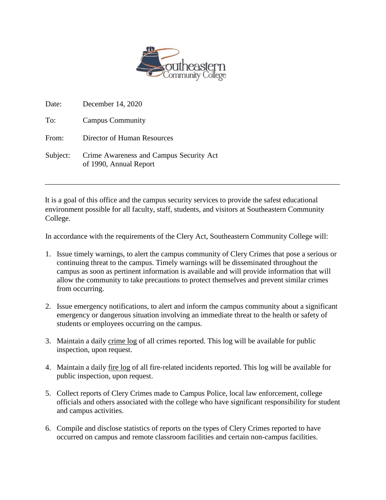

| Date:    | December 14, 2020                                                 |
|----------|-------------------------------------------------------------------|
| To:      | <b>Campus Community</b>                                           |
| From:    | Director of Human Resources                                       |
| Subject: | Crime Awareness and Campus Security Act<br>of 1990, Annual Report |

It is a goal of this office and the campus security services to provide the safest educational environment possible for all faculty, staff, students, and visitors at Southeastern Community College.

\_\_\_\_\_\_\_\_\_\_\_\_\_\_\_\_\_\_\_\_\_\_\_\_\_\_\_\_\_\_\_\_\_\_\_\_\_\_\_\_\_\_\_\_\_\_\_\_\_\_\_\_\_\_\_\_\_\_\_\_\_\_\_\_\_\_\_\_\_\_\_\_\_\_\_\_\_\_

In accordance with the requirements of the Clery Act, Southeastern Community College will:

- 1. Issue timely warnings, to alert the campus community of Clery Crimes that pose a serious or continuing threat to the campus. Timely warnings will be disseminated throughout the campus as soon as pertinent information is available and will provide information that will allow the community to take precautions to protect themselves and prevent similar crimes from occurring.
- 2. Issue emergency notifications, to alert and inform the campus community about a significant emergency or dangerous situation involving an immediate threat to the health or safety of students or employees occurring on the campus.
- 3. Maintain a daily crime log of all crimes reported. This log will be available for public inspection, upon request.
- 4. Maintain a daily fire log of all fire-related incidents reported. This log will be available for public inspection, upon request.
- 5. Collect reports of Clery Crimes made to Campus Police, local law enforcement, college officials and others associated with the college who have significant responsibility for student and campus activities.
- 6. Compile and disclose statistics of reports on the types of Clery Crimes reported to have occurred on campus and remote classroom facilities and certain non-campus facilities.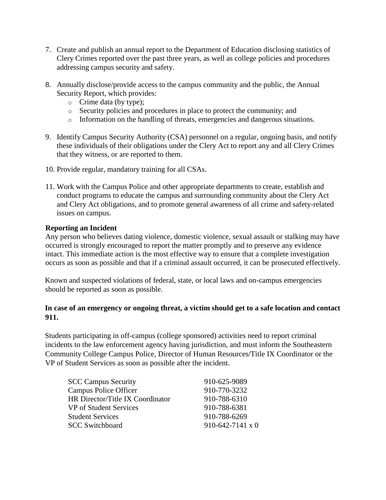- 7. Create and publish an annual report to the Department of Education disclosing statistics of Clery Crimes reported over the past three years, as well as college policies and procedures addressing campus security and safety.
- 8. Annually disclose/provide access to the campus community and the public, the Annual Security Report, which provides:
	- o Crime data (by type);
	- o Security policies and procedures in place to protect the community; and
	- o Information on the handling of threats, emergencies and dangerous situations.
- 9. Identify Campus Security Authority (CSA) personnel on a regular, ongoing basis, and notify these individuals of their obligations under the Clery Act to report any and all Clery Crimes that they witness, or are reported to them.
- 10. Provide regular, mandatory training for all CSAs.
- 11. Work with the Campus Police and other appropriate departments to create, establish and conduct programs to educate the campus and surrounding community about the Clery Act and Clery Act obligations, and to promote general awareness of all crime and safety-related issues on campus.

## **Reporting an Incident**

Any person who believes dating violence, domestic violence, sexual assault or stalking may have occurred is strongly encouraged to report the matter promptly and to preserve any evidence intact. This immediate action is the most effective way to ensure that a complete investigation occurs as soon as possible and that if a criminal assault occurred, it can be prosecuted effectively.

Known and suspected violations of federal, state, or local laws and on-campus emergencies should be reported as soon as possible.

## **In case of an emergency or ongoing threat, a victim should get to a safe location and contact 911.**

Students participating in off-campus (college sponsored) activities need to report criminal incidents to the law enforcement agency having jurisdiction, and must inform the Southeastern Community College Campus Police, Director of Human Resources/Title IX Coordinator or the VP of Student Services as soon as possible after the incident.

| <b>SCC Campus Security</b>       | 910-625-9089                |
|----------------------------------|-----------------------------|
| <b>Campus Police Officer</b>     | 910-770-3232                |
| HR Director/Title IX Coordinator | 910-788-6310                |
| VP of Student Services           | 910-788-6381                |
| <b>Student Services</b>          | 910-788-6269                |
| <b>SCC Switchboard</b>           | $910 - 642 - 7141 \times 0$ |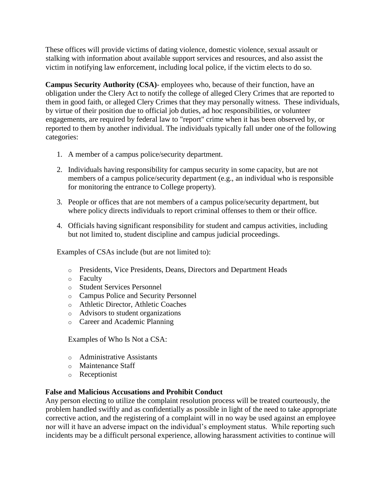These offices will provide victims of dating violence, domestic violence, sexual assault or stalking with information about available support services and resources, and also assist the victim in notifying law enforcement, including local police, if the victim elects to do so.

**Campus Security Authority (CSA)**- employees who, because of their function, have an obligation under the Clery Act to notify the college of alleged Clery Crimes that are reported to them in good faith, or alleged Clery Crimes that they may personally witness. These individuals, by virtue of their position due to official job duties, ad hoc responsibilities, or volunteer engagements, are required by federal law to "report" crime when it has been observed by, or reported to them by another individual. The individuals typically fall under one of the following categories:

- 1. A member of a campus police/security department.
- 2. Individuals having responsibility for campus security in some capacity, but are not members of a campus police/security department (e.g., an individual who is responsible for monitoring the entrance to College property).
- 3. People or offices that are not members of a campus police/security department, but where policy directs individuals to report criminal offenses to them or their office.
- 4. Officials having significant responsibility for student and campus activities, including but not limited to, student discipline and campus judicial proceedings.

Examples of CSAs include (but are not limited to):

- o Presidents, Vice Presidents, Deans, Directors and Department Heads
- o Faculty
- o Student Services Personnel
- o Campus Police and Security Personnel
- o Athletic Director, Athletic Coaches
- o Advisors to student organizations
- o Career and Academic Planning

Examples of Who Is Not a CSA:

- o Administrative Assistants
- o Maintenance Staff
- o Receptionist

## **False and Malicious Accusations and Prohibit Conduct**

Any person electing to utilize the complaint resolution process will be treated courteously, the problem handled swiftly and as confidentially as possible in light of the need to take appropriate corrective action, and the registering of a complaint will in no way be used against an employee nor will it have an adverse impact on the individual's employment status. While reporting such incidents may be a difficult personal experience, allowing harassment activities to continue will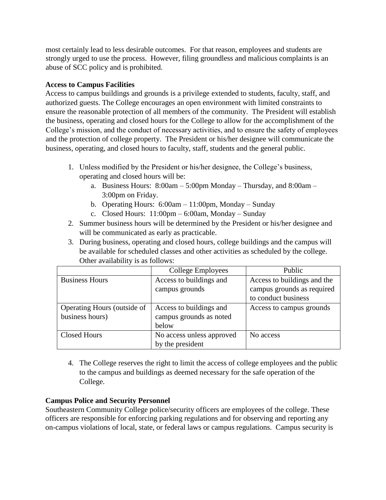most certainly lead to less desirable outcomes. For that reason, employees and students are strongly urged to use the process. However, filing groundless and malicious complaints is an abuse of SCC policy and is prohibited.

## **Access to Campus Facilities**

Access to campus buildings and grounds is a privilege extended to students, faculty, staff, and authorized guests. The College encourages an open environment with limited constraints to ensure the reasonable protection of all members of the community. The President will establish the business, operating and closed hours for the College to allow for the accomplishment of the College's mission, and the conduct of necessary activities, and to ensure the safety of employees and the protection of college property. The President or his/her designee will communicate the business, operating, and closed hours to faculty, staff, students and the general public.

- 1. Unless modified by the President or his/her designee, the College's business, operating and closed hours will be:
	- a. Business Hours: 8:00am 5:00pm Monday Thursday, and 8:00am 3:00pm on Friday.
	- b. Operating Hours: 6:00am 11:00pm, Monday Sunday
	- c. Closed Hours: 11:00pm 6:00am, Monday Sunday
- 2. Summer business hours will be determined by the President or his/her designee and will be communicated as early as practicable.
- 3. During business, operating and closed hours, college buildings and the campus will be available for scheduled classes and other activities as scheduled by the college. Other availability is as follows:

|                             | College Employees         | Public                      |
|-----------------------------|---------------------------|-----------------------------|
| <b>Business Hours</b>       | Access to buildings and   | Access to buildings and the |
|                             | campus grounds            | campus grounds as required  |
|                             |                           | to conduct business         |
| Operating Hours (outside of | Access to buildings and   | Access to campus grounds    |
| business hours)             | campus grounds as noted   |                             |
|                             | below                     |                             |
| <b>Closed Hours</b>         | No access unless approved | No access                   |
|                             | by the president          |                             |

4. The College reserves the right to limit the access of college employees and the public to the campus and buildings as deemed necessary for the safe operation of the College.

# **Campus Police and Security Personnel**

Southeastern Community College police/security officers are employees of the college. These officers are responsible for enforcing parking regulations and for observing and reporting any on-campus violations of local, state, or federal laws or campus regulations. Campus security is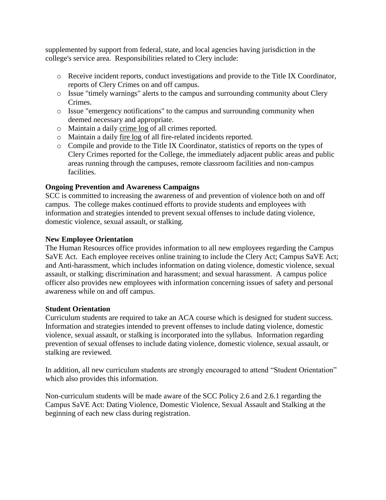supplemented by support from federal, state, and local agencies having jurisdiction in the college's service area. Responsibilities related to Clery include:

- o Receive incident reports, conduct investigations and provide to the Title IX Coordinator, reports of Clery Crimes on and off campus.
- o Issue "timely warnings" alerts to the campus and surrounding community about Clery Crimes.
- o Issue "emergency notifications" to the campus and surrounding community when deemed necessary and appropriate.
- o Maintain a daily crime log of all crimes reported.
- o Maintain a daily fire log of all fire-related incidents reported.
- o Compile and provide to the Title IX Coordinator, statistics of reports on the types of Clery Crimes reported for the College, the immediately adjacent public areas and public areas running through the campuses, remote classroom facilities and non-campus facilities.

## **Ongoing Prevention and Awareness Campaigns**

SCC is committed to increasing the awareness of and prevention of violence both on and off campus. The college makes continued efforts to provide students and employees with information and strategies intended to prevent sexual offenses to include dating violence, domestic violence, sexual assault, or stalking.

### **New Employee Orientation**

The Human Resources office provides information to all new employees regarding the Campus SaVE Act. Each employee receives online training to include the Clery Act; Campus SaVE Act; and Anti-harassment, which includes information on dating violence, domestic violence, sexual assault, or stalking; discrimination and harassment; and sexual harassment. A campus police officer also provides new employees with information concerning issues of safety and personal awareness while on and off campus.

### **Student Orientation**

Curriculum students are required to take an ACA course which is designed for student success. Information and strategies intended to prevent offenses to include dating violence, domestic violence, sexual assault, or stalking is incorporated into the syllabus. Information regarding prevention of sexual offenses to include dating violence, domestic violence, sexual assault, or stalking are reviewed.

In addition, all new curriculum students are strongly encouraged to attend "Student Orientation" which also provides this information.

Non-curriculum students will be made aware of the SCC Policy 2.6 and 2.6.1 regarding the Campus SaVE Act: Dating Violence, Domestic Violence, Sexual Assault and Stalking at the beginning of each new class during registration.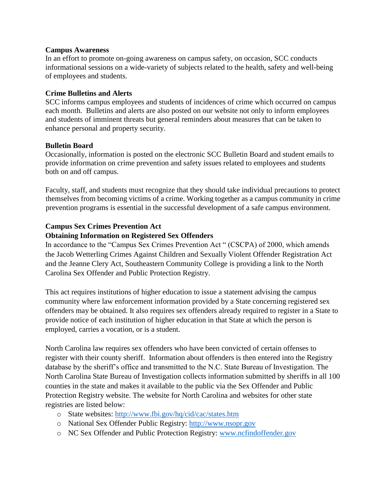### **Campus Awareness**

In an effort to promote on-going awareness on campus safety, on occasion, SCC conducts informational sessions on a wide-variety of subjects related to the health, safety and well-being of employees and students.

### **Crime Bulletins and Alerts**

SCC informs campus employees and students of incidences of crime which occurred on campus each month. Bulletins and alerts are also posted on our website not only to inform employees and students of imminent threats but general reminders about measures that can be taken to enhance personal and property security.

### **Bulletin Board**

Occasionally, information is posted on the electronic SCC Bulletin Board and student emails to provide information on crime prevention and safety issues related to employees and students both on and off campus.

Faculty, staff, and students must recognize that they should take individual precautions to protect themselves from becoming victims of a crime. Working together as a campus community in crime prevention programs is essential in the successful development of a safe campus environment.

### **Campus Sex Crimes Prevention Act**

### **Obtaining Information on Registered Sex Offenders**

In accordance to the "Campus Sex Crimes Prevention Act " (CSCPA) of 2000, which amends the Jacob Wetterling Crimes Against Children and Sexually Violent Offender Registration Act and the Jeanne Clery Act, Southeastern Community College is providing a link to the North Carolina Sex Offender and Public Protection Registry.

This act requires institutions of higher education to issue a statement advising the campus community where law enforcement information provided by a State concerning registered sex offenders may be obtained. It also requires sex offenders already required to register in a State to provide notice of each institution of higher education in that State at which the person is employed, carries a vocation, or is a student.

North Carolina law requires sex offenders who have been convicted of certain offenses to register with their county sheriff. Information about offenders is then entered into the Registry database by the sheriff's office and transmitted to the N.C. State Bureau of Investigation. The North Carolina State Bureau of Investigation collects information submitted by sheriffs in all 100 counties in the state and makes it available to the public via the Sex Offender and Public Protection Registry website. The website for North Carolina and websites for other state registries are listed below:

- o State websites:<http://www.fbi.gov/hq/cid/cac/states.htm>
- o National Sex Offender Public Registry: [http://www.nsopr.gov](http://www.nsopr.gov/)
- o NC Sex Offender and Public Protection Registry: [www.ncfindoffender.gov](http://www.ncfindoffender.gov/)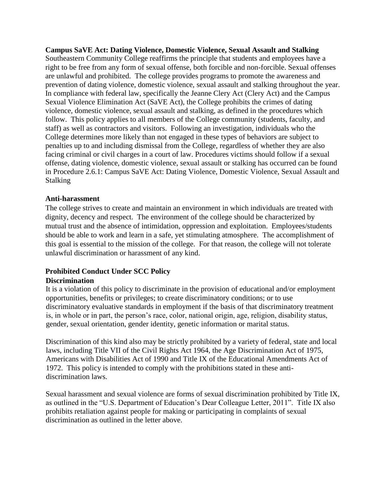**Campus SaVE Act: Dating Violence, Domestic Violence, Sexual Assault and Stalking** Southeastern Community College reaffirms the principle that students and employees have a right to be free from any form of sexual offense, both forcible and non-forcible. Sexual offenses are unlawful and prohibited. The college provides programs to promote the awareness and prevention of dating violence, domestic violence, sexual assault and stalking throughout the year. In compliance with federal law, specifically the Jeanne Clery Act (Clery Act) and the Campus Sexual Violence Elimination Act (SaVE Act), the College prohibits the crimes of dating violence, domestic violence, sexual assault and stalking, as defined in the procedures which follow. This policy applies to all members of the College community (students, faculty, and staff) as well as contractors and visitors. Following an investigation, individuals who the College determines more likely than not engaged in these types of behaviors are subject to penalties up to and including dismissal from the College, regardless of whether they are also facing criminal or civil charges in a court of law. Procedures victims should follow if a sexual offense, dating violence, domestic violence, sexual assault or stalking has occurred can be found in Procedure 2.6.1: Campus SaVE Act: Dating Violence, Domestic Violence, Sexual Assault and Stalking

### **Anti-harassment**

The college strives to create and maintain an environment in which individuals are treated with dignity, decency and respect. The environment of the college should be characterized by mutual trust and the absence of intimidation, oppression and exploitation. Employees/students should be able to work and learn in a safe, yet stimulating atmosphere. The accomplishment of this goal is essential to the mission of the college. For that reason, the college will not tolerate unlawful discrimination or harassment of any kind.

## **Prohibited Conduct Under SCC Policy**

### **Discrimination**

It is a violation of this policy to discriminate in the provision of educational and/or employment opportunities, benefits or privileges; to create discriminatory conditions; or to use discriminatory evaluative standards in employment if the basis of that discriminatory treatment is, in whole or in part, the person's race, color, national origin, age, religion, disability status, gender, sexual orientation, gender identity, genetic information or marital status.

Discrimination of this kind also may be strictly prohibited by a variety of federal, state and local laws, including Title VII of the Civil Rights Act 1964, the Age Discrimination Act of 1975, Americans with Disabilities Act of 1990 and Title IX of the Educational Amendments Act of 1972. This policy is intended to comply with the prohibitions stated in these antidiscrimination laws.

Sexual harassment and sexual violence are forms of sexual discrimination prohibited by Title IX, as outlined in the "U.S. Department of Education's Dear Colleague Letter, 2011". Title IX also prohibits retaliation against people for making or participating in complaints of sexual discrimination as outlined in the letter above.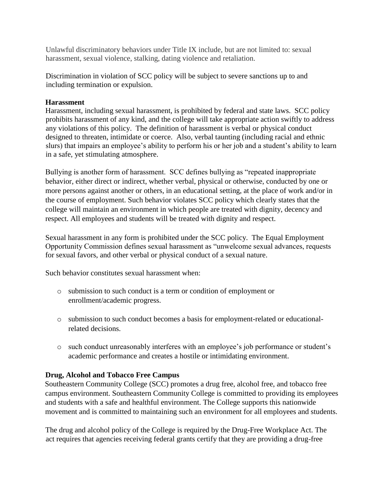Unlawful discriminatory behaviors under Title IX include, but are not limited to: sexual harassment, sexual violence, stalking, dating violence and retaliation.

Discrimination in violation of SCC policy will be subject to severe sanctions up to and including termination or expulsion.

### **Harassment**

Harassment, including sexual harassment, is prohibited by federal and state laws. SCC policy prohibits harassment of any kind, and the college will take appropriate action swiftly to address any violations of this policy. The definition of harassment is verbal or physical conduct designed to threaten, intimidate or coerce. Also, verbal taunting (including racial and ethnic slurs) that impairs an employee's ability to perform his or her job and a student's ability to learn in a safe, yet stimulating atmosphere.

Bullying is another form of harassment. SCC defines bullying as "repeated inappropriate behavior, either direct or indirect, whether verbal, physical or otherwise, conducted by one or more persons against another or others, in an educational setting, at the place of work and/or in the course of employment. Such behavior violates SCC policy which clearly states that the college will maintain an environment in which people are treated with dignity, decency and respect. All employees and students will be treated with dignity and respect.

Sexual harassment in any form is prohibited under the SCC policy. The Equal Employment Opportunity Commission defines sexual harassment as "unwelcome sexual advances, requests for sexual favors, and other verbal or physical conduct of a sexual nature.

Such behavior constitutes sexual harassment when:

- o submission to such conduct is a term or condition of employment or enrollment/academic progress.
- o submission to such conduct becomes a basis for employment-related or educationalrelated decisions.
- o such conduct unreasonably interferes with an employee's job performance or student's academic performance and creates a hostile or intimidating environment.

## **Drug, Alcohol and Tobacco Free Campus**

Southeastern Community College (SCC) promotes a drug free, alcohol free, and tobacco free campus environment. Southeastern Community College is committed to providing its employees and students with a safe and healthful environment. The College supports this nationwide movement and is committed to maintaining such an environment for all employees and students.

The drug and alcohol policy of the College is required by the Drug-Free Workplace Act. The act requires that agencies receiving federal grants certify that they are providing a drug-free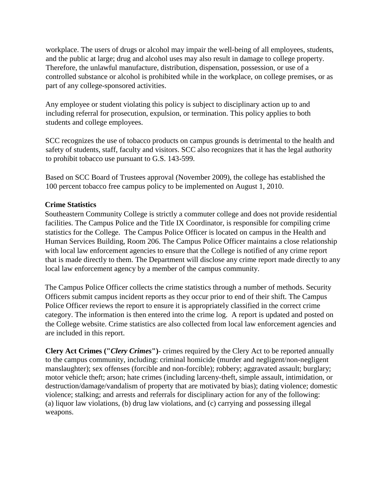workplace. The users of drugs or alcohol may impair the well-being of all employees, students, and the public at large; drug and alcohol uses may also result in damage to college property. Therefore, the unlawful manufacture, distribution, dispensation, possession, or use of a controlled substance or alcohol is prohibited while in the workplace, on college premises, or as part of any college-sponsored activities.

Any employee or student violating this policy is subject to disciplinary action up to and including referral for prosecution, expulsion, or termination. This policy applies to both students and college employees.

SCC recognizes the use of tobacco products on campus grounds is detrimental to the health and safety of students, staff, faculty and visitors. SCC also recognizes that it has the legal authority to prohibit tobacco use pursuant to G.S. 143-599.

Based on SCC Board of Trustees approval (November 2009), the college has established the 100 percent tobacco free campus policy to be implemented on August 1, 2010.

### **Crime Statistics**

Southeastern Community College is strictly a commuter college and does not provide residential facilities. The Campus Police and the Title IX Coordinator, is responsible for compiling crime statistics for the College. The Campus Police Officer is located on campus in the Health and Human Services Building, Room 206. The Campus Police Officer maintains a close relationship with local law enforcement agencies to ensure that the College is notified of any crime report that is made directly to them. The Department will disclose any crime report made directly to any local law enforcement agency by a member of the campus community.

The Campus Police Officer collects the crime statistics through a number of methods. Security Officers submit campus incident reports as they occur prior to end of their shift. The Campus Police Officer reviews the report to ensure it is appropriately classified in the correct crime category. The information is then entered into the crime log. A report is updated and posted on the College website. Crime statistics are also collected from local law enforcement agencies and are included in this report.

**Clery Act Crimes ("***Clery Crimes***")**- crimes required by the Clery Act to be reported annually to the campus community, including: criminal homicide (murder and negligent/non-negligent manslaughter); sex offenses (forcible and non-forcible); robbery; aggravated assault; burglary; motor vehicle theft; arson; hate crimes (including larceny-theft, simple assault, intimidation, or destruction/damage/vandalism of property that are motivated by bias); dating violence; domestic violence; stalking; and arrests and referrals for disciplinary action for any of the following: (a) liquor law violations, (b) drug law violations, and (c) carrying and possessing illegal weapons.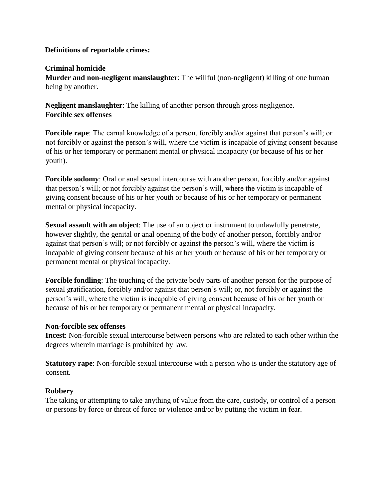### **Definitions of reportable crimes:**

### **Criminal homicide**

**Murder and non-negligent manslaughter**: The willful (non-negligent) killing of one human being by another.

**Negligent manslaughter**: The killing of another person through gross negligence. **Forcible sex offenses** 

**Forcible rape**: The carnal knowledge of a person, forcibly and/or against that person's will; or not forcibly or against the person's will, where the victim is incapable of giving consent because of his or her temporary or permanent mental or physical incapacity (or because of his or her youth).

**Forcible sodomy**: Oral or anal sexual intercourse with another person, forcibly and/or against that person's will; or not forcibly against the person's will, where the victim is incapable of giving consent because of his or her youth or because of his or her temporary or permanent mental or physical incapacity.

**Sexual assault with an object**: The use of an object or instrument to unlawfully penetrate, however slightly, the genital or anal opening of the body of another person, forcibly and/or against that person's will; or not forcibly or against the person's will, where the victim is incapable of giving consent because of his or her youth or because of his or her temporary or permanent mental or physical incapacity.

**Forcible fondling**: The touching of the private body parts of another person for the purpose of sexual gratification, forcibly and/or against that person's will; or, not forcibly or against the person's will, where the victim is incapable of giving consent because of his or her youth or because of his or her temporary or permanent mental or physical incapacity.

### **Non-forcible sex offenses**

**Incest**: Non-forcible sexual intercourse between persons who are related to each other within the degrees wherein marriage is prohibited by law.

**Statutory rape**: Non-forcible sexual intercourse with a person who is under the statutory age of consent.

## **Robbery**

The taking or attempting to take anything of value from the care, custody, or control of a person or persons by force or threat of force or violence and/or by putting the victim in fear.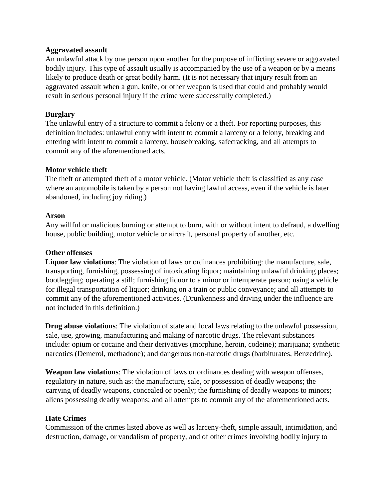### **Aggravated assault**

An unlawful attack by one person upon another for the purpose of inflicting severe or aggravated bodily injury. This type of assault usually is accompanied by the use of a weapon or by a means likely to produce death or great bodily harm. (It is not necessary that injury result from an aggravated assault when a gun, knife, or other weapon is used that could and probably would result in serious personal injury if the crime were successfully completed.)

## **Burglary**

The unlawful entry of a structure to commit a felony or a theft. For reporting purposes, this definition includes: unlawful entry with intent to commit a larceny or a felony, breaking and entering with intent to commit a larceny, housebreaking, safecracking, and all attempts to commit any of the aforementioned acts.

## **Motor vehicle theft**

The theft or attempted theft of a motor vehicle. (Motor vehicle theft is classified as any case where an automobile is taken by a person not having lawful access, even if the vehicle is later abandoned, including joy riding.)

## **Arson**

Any willful or malicious burning or attempt to burn, with or without intent to defraud, a dwelling house, public building, motor vehicle or aircraft, personal property of another, etc.

# **Other offenses**

**Liquor law violations**: The violation of laws or ordinances prohibiting: the manufacture, sale, transporting, furnishing, possessing of intoxicating liquor; maintaining unlawful drinking places; bootlegging; operating a still; furnishing liquor to a minor or intemperate person; using a vehicle for illegal transportation of liquor; drinking on a train or public conveyance; and all attempts to commit any of the aforementioned activities. (Drunkenness and driving under the influence are not included in this definition.)

**Drug abuse violations**: The violation of state and local laws relating to the unlawful possession, sale, use, growing, manufacturing and making of narcotic drugs. The relevant substances include: opium or cocaine and their derivatives (morphine, heroin, codeine); marijuana; synthetic narcotics (Demerol, methadone); and dangerous non-narcotic drugs (barbiturates, Benzedrine).

**Weapon law violations**: The violation of laws or ordinances dealing with weapon offenses, regulatory in nature, such as: the manufacture, sale, or possession of deadly weapons; the carrying of deadly weapons, concealed or openly; the furnishing of deadly weapons to minors; aliens possessing deadly weapons; and all attempts to commit any of the aforementioned acts.

## **Hate Crimes**

Commission of the crimes listed above as well as larceny-theft, simple assault, intimidation, and destruction, damage, or vandalism of property, and of other crimes involving bodily injury to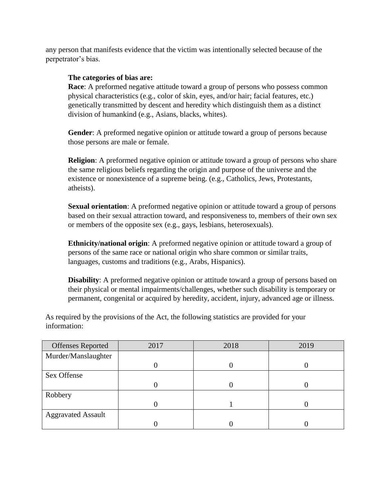any person that manifests evidence that the victim was intentionally selected because of the perpetrator's bias.

### **The categories of bias are:**

**Race:** A preformed negative attitude toward a group of persons who possess common physical characteristics (e.g., color of skin, eyes, and/or hair; facial features, etc.) genetically transmitted by descent and heredity which distinguish them as a distinct division of humankind (e.g., Asians, blacks, whites).

**Gender**: A preformed negative opinion or attitude toward a group of persons because those persons are male or female.

**Religion**: A preformed negative opinion or attitude toward a group of persons who share the same religious beliefs regarding the origin and purpose of the universe and the existence or nonexistence of a supreme being. (e.g., Catholics, Jews, Protestants, atheists).

**Sexual orientation**: A preformed negative opinion or attitude toward a group of persons based on their sexual attraction toward, and responsiveness to, members of their own sex or members of the opposite sex (e.g., gays, lesbians, heterosexuals).

**Ethnicity/national origin**: A preformed negative opinion or attitude toward a group of persons of the same race or national origin who share common or similar traits, languages, customs and traditions (e.g., Arabs, Hispanics).

**Disability**: A preformed negative opinion or attitude toward a group of persons based on their physical or mental impairments/challenges, whether such disability is temporary or permanent, congenital or acquired by heredity, accident, injury, advanced age or illness.

As required by the provisions of the Act, the following statistics are provided for your information:

| <b>Offenses Reported</b>  | 2017 | 2018 | 2019 |
|---------------------------|------|------|------|
| Murder/Manslaughter       |      |      |      |
|                           |      |      |      |
| Sex Offense               |      |      |      |
|                           |      |      |      |
| Robbery                   |      |      |      |
|                           |      |      |      |
| <b>Aggravated Assault</b> |      |      |      |
|                           |      |      |      |